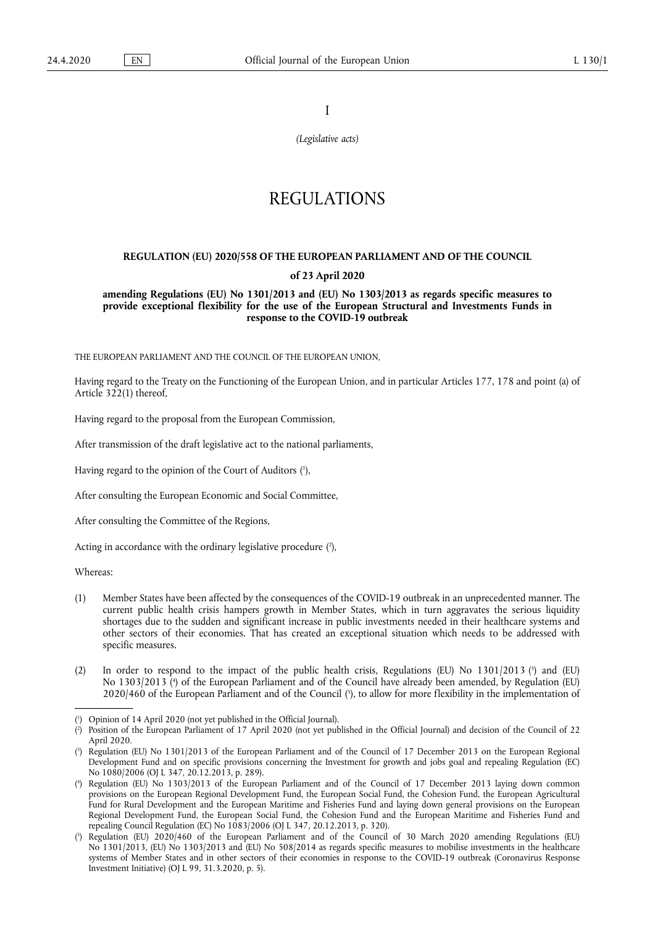I

*(Legislative acts)* 

## REGULATIONS

# **REGULATION (EU) 2020/558 OF THE EUROPEAN PARLIAMENT AND OF THE COUNCIL**

## **of 23 April 2020**

**amending Regulations (EU) No 1301/2013 and (EU) No 1303/2013 as regards specific measures to provide exceptional flexibility for the use of the European Structural and Investments Funds in response to the COVID-19 outbreak** 

THE EUROPEAN PARLIAMENT AND THE COUNCIL OF THE EUROPEAN UNION,

Having regard to the Treaty on the Functioning of the European Union, and in particular Articles 177, 178 and point (a) of Article 322(1) thereof,

Having regard to the proposal from the European Commission,

After transmission of the draft legislative act to the national parliaments,

<span id="page-0-5"></span>Having regard to the opinion of the Court of Auditors [\(](#page-0-0) 1 ),

After consulting the European Economic and Social Committee,

After consulting the Committee of the Regions,

<span id="page-0-6"></span>Acting in accordance with the ordinary legislative procedure [\(](#page-0-1)2),

Whereas:

- (1) Member States have been affected by the consequences of the COVID-19 outbreak in an unprecedented manner. The current public health crisis hampers growth in Member States, which in turn aggravates the serious liquidity shortages due to the sudden and significant increase in public investments needed in their healthcare systems and other sectors of their economies. That has created an exceptional situation which needs to be addressed with specific measures.
- <span id="page-0-9"></span><span id="page-0-8"></span><span id="page-0-7"></span>[\(](#page-0-2)2) In order to respond to the impact of the public health crisis, Regulations (EU) No 1301/2013 (<sup>3</sup>) and (EU) No 1303/2013 [\(](#page-0-3) 4 ) of the European Parliament and of the Council have already been amended, by Regulation (EU) 2020/460 of the European Parliament and of the Council [\(](#page-0-4) 5 ), to allow for more flexibility in the implementation of

<span id="page-0-0"></span>[<sup>\(</sup>](#page-0-5) 1 ) Opinion of 14 April 2020 (not yet published in the Official Journal).

<span id="page-0-1"></span>[<sup>\(</sup>](#page-0-6) 2 ) Position of the European Parliament of 17 April 2020 (not yet published in the Official Journal) and decision of the Council of 22 April 2020.

<span id="page-0-2"></span>[<sup>\(</sup>](#page-0-7) 3 ) Regulation (EU) No 1301/2013 of the European Parliament and of the Council of 17 December 2013 on the European Regional Development Fund and on specific provisions concerning the Investment for growth and jobs goal and repealing Regulation (EC) No 1080/2006 (OJ L 347, 20.12.2013, p. 289).

<span id="page-0-3"></span><sup>(</sup> 4 [\)](#page-0-8) Regulation (EU) No 1303/2013 of the European Parliament and of the Council of 17 December 2013 laying down common provisions on the European Regional Development Fund, the European Social Fund, the Cohesion Fund, the European Agricultural Fund for Rural Development and the European Maritime and Fisheries Fund and laying down general provisions on the European Regional Development Fund, the European Social Fund, the Cohesion Fund and the European Maritime and Fisheries Fund and repealing Council Regulation (EC) No 1083/2006 (OJ L 347, 20.12.2013, p. 320).

<span id="page-0-4"></span>[<sup>\(</sup>](#page-0-9) 5 ) Regulation (EU) 2020/460 of the European Parliament and of the Council of 30 March 2020 amending Regulations (EU) No 1301/2013, (EU) No 1303/2013 and (EU) No 508/2014 as regards specific measures to mobilise investments in the healthcare systems of Member States and in other sectors of their economies in response to the COVID-19 outbreak (Coronavirus Response Investment Initiative) (OJ L 99, 31.3.2020, p. 5).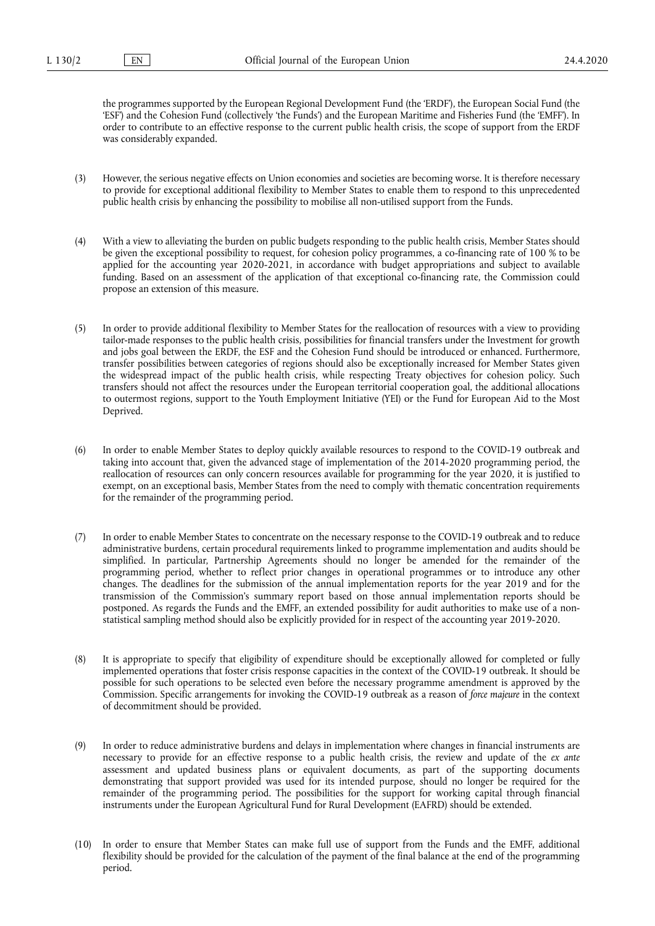the programmes supported by the European Regional Development Fund (the 'ERDF'), the European Social Fund (the 'ESF') and the Cohesion Fund (collectively 'the Funds') and the European Maritime and Fisheries Fund (the 'EMFF'). In order to contribute to an effective response to the current public health crisis, the scope of support from the ERDF was considerably expanded.

- (3) However, the serious negative effects on Union economies and societies are becoming worse. It is therefore necessary to provide for exceptional additional flexibility to Member States to enable them to respond to this unprecedented public health crisis by enhancing the possibility to mobilise all non-utilised support from the Funds.
- (4) With a view to alleviating the burden on public budgets responding to the public health crisis, Member States should be given the exceptional possibility to request, for cohesion policy programmes, a co-financing rate of 100 % to be applied for the accounting year 2020-2021, in accordance with budget appropriations and subject to available funding. Based on an assessment of the application of that exceptional co-financing rate, the Commission could propose an extension of this measure.
- (5) In order to provide additional flexibility to Member States for the reallocation of resources with a view to providing tailor-made responses to the public health crisis, possibilities for financial transfers under the Investment for growth and jobs goal between the ERDF, the ESF and the Cohesion Fund should be introduced or enhanced. Furthermore, transfer possibilities between categories of regions should also be exceptionally increased for Member States given the widespread impact of the public health crisis, while respecting Treaty objectives for cohesion policy. Such transfers should not affect the resources under the European territorial cooperation goal, the additional allocations to outermost regions, support to the Youth Employment Initiative (YEI) or the Fund for European Aid to the Most Deprived.
- (6) In order to enable Member States to deploy quickly available resources to respond to the COVID-19 outbreak and taking into account that, given the advanced stage of implementation of the 2014-2020 programming period, the reallocation of resources can only concern resources available for programming for the year 2020, it is justified to exempt, on an exceptional basis, Member States from the need to comply with thematic concentration requirements for the remainder of the programming period.
- (7) In order to enable Member States to concentrate on the necessary response to the COVID‐19 outbreak and to reduce administrative burdens, certain procedural requirements linked to programme implementation and audits should be simplified. In particular, Partnership Agreements should no longer be amended for the remainder of the programming period, whether to reflect prior changes in operational programmes or to introduce any other changes. The deadlines for the submission of the annual implementation reports for the year 2019 and for the transmission of the Commission's summary report based on those annual implementation reports should be postponed. As regards the Funds and the EMFF, an extended possibility for audit authorities to make use of a nonstatistical sampling method should also be explicitly provided for in respect of the accounting year 2019-2020.
- (8) It is appropriate to specify that eligibility of expenditure should be exceptionally allowed for completed or fully implemented operations that foster crisis response capacities in the context of the COVID-19 outbreak. It should be possible for such operations to be selected even before the necessary programme amendment is approved by the Commission. Specific arrangements for invoking the COVID-19 outbreak as a reason of *force majeure* in the context of decommitment should be provided.
- (9) In order to reduce administrative burdens and delays in implementation where changes in financial instruments are necessary to provide for an effective response to a public health crisis, the review and update of the *ex ante*  assessment and updated business plans or equivalent documents, as part of the supporting documents demonstrating that support provided was used for its intended purpose, should no longer be required for the remainder of the programming period. The possibilities for the support for working capital through financial instruments under the European Agricultural Fund for Rural Development (EAFRD) should be extended.
- (10) In order to ensure that Member States can make full use of support from the Funds and the EMFF, additional flexibility should be provided for the calculation of the payment of the final balance at the end of the programming period.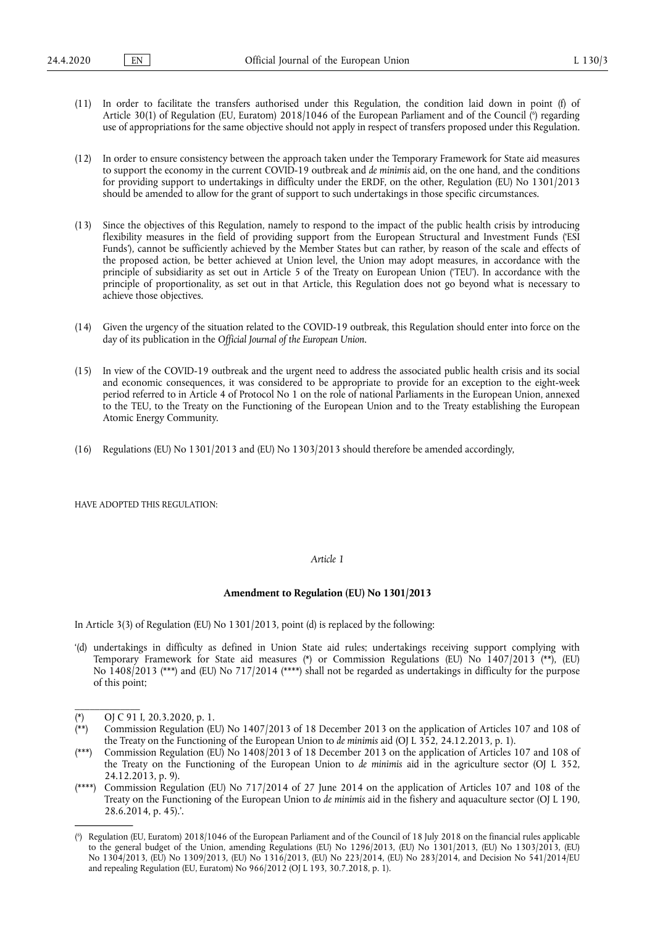- <span id="page-2-7"></span>(11) In order to facilitate the transfers authorised under this Regulation, the condition laid down in point (f) of Article 30(1) of Regulation (EU, Euratom) 2018/1046 of the European Parliament and of the Council ( 6 [\)](#page-2-0) regarding use of appropriations for the same objective should not apply in respect of transfers proposed under this Regulation.
- (12) In order to ensure consistency between the approach taken under the Temporary Framework for State aid measures to support the economy in the current COVID-19 outbreak and *de minimis* aid, on the one hand, and the conditions for providing support to undertakings in difficulty under the ERDF, on the other, Regulation (EU) No 1301/2013 should be amended to allow for the grant of support to such undertakings in those specific circumstances.
- (13) Since the objectives of this Regulation, namely to respond to the impact of the public health crisis by introducing flexibility measures in the field of providing support from the European Structural and Investment Funds ('ESI Funds'), cannot be sufficiently achieved by the Member States but can rather, by reason of the scale and effects of the proposed action, be better achieved at Union level, the Union may adopt measures, in accordance with the principle of subsidiarity as set out in Article 5 of the Treaty on European Union ('TEU'). In accordance with the principle of proportionality, as set out in that Article, this Regulation does not go beyond what is necessary to achieve those objectives.
- (14) Given the urgency of the situation related to the COVID-19 outbreak, this Regulation should enter into force on the day of its publication in the *Official Journal of the European Union*.
- (15) In view of the COVID-19 outbreak and the urgent need to address the associated public health crisis and its social and economic consequences, it was considered to be appropriate to provide for an exception to the eight-week period referred to in Article 4 of Protocol No 1 on the role of national Parliaments in the European Union, annexed to the TEU, to the Treaty on the Functioning of the European Union and to the Treaty establishing the European Atomic Energy Community.
- (16) Regulations (EU) No 1301/2013 and (EU) No 1303/2013 should therefore be amended accordingly,

HAVE ADOPTED THIS REGULATION:

## *Article 1*

#### **Amendment to Regulation (EU) No 1301/2013**

In Article 3(3) of Regulation (EU) No 1301/2013, point (d) is replaced by the following:

<span id="page-2-6"></span><span id="page-2-5"></span>'(d) undertakings in difficulty as defined in Union State aid rules; undertakings receiving support complying with Temporary Framework for State aid measures [\(\\*\)](#page-2-1) or Commission Regulations (EU) No 1407/201[3 \(\\*\\*\),](#page-2-2) (EU) No 1408/2013 [\(\\*\\*\\*\)](#page-2-3) and (EU) No 717/201[4 \(\\*\\*\\*\\*\)](#page-2-4) shall not be regarded as undertakings in difficulty for the purpose of this point;

\_\_\_\_\_\_\_\_\_\_\_\_\_

- <span id="page-2-3"></span>[\(\\*\\*\\*\) C](#page-2-6)ommission Regulation (EU) No 1408/2013 of 18 December 2013 on the application of Articles 107 and 108 of the Treaty on the Functioning of the European Union to *de minimis* aid in the agriculture sector (OJ L 352, 24.12.2013, p. 9).
- <span id="page-2-4"></span>[\(\\*\\*\\*\\*\) C](#page-2-6)ommission Regulation (EU) No 717/2014 of 27 June 2014 on the application of Articles 107 and 108 of the Treaty on the Functioning of the European Union to *de minimis* aid in the fishery and aquaculture sector (OJ L 190, 28.6.2014, p. 45).'.

<span id="page-2-1"></span>[<sup>\(\\*\)</sup> O](#page-2-5)J C 91 I, 20.3.2020, p. 1.

<span id="page-2-2"></span>Commission Regulation (EU) No 1407/2013 of 18 December 2013 on the application of Articles 107 and 108 of the Treaty on the Functioning of the European Union to *de minimis* aid (OJ L 352, 24.12.2013, p. 1).

<span id="page-2-0"></span>[<sup>\(</sup>](#page-2-7) 6 ) Regulation (EU, Euratom) 2018/1046 of the European Parliament and of the Council of 18 July 2018 on the financial rules applicable to the general budget of the Union, amending Regulations (EU) No 1296/2013, (EU) No 1301/2013, (EU) No 1303/2013, (EU) No 1304/2013, (EU) No 1309/2013, (EU) No 1316/2013, (EU) No 223/2014, (EU) No 283/2014, and Decision No 541/2014/EU and repealing Regulation (EU, Euratom) No 966/2012 (OJ L 193, 30.7.2018, p. 1).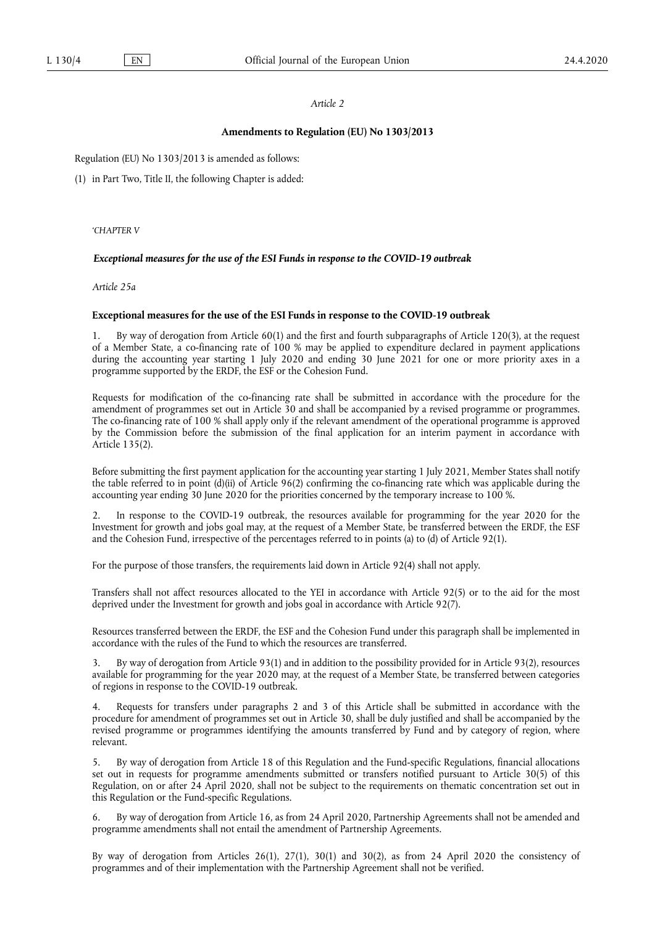#### *Article 2*

#### **Amendments to Regulation (EU) No 1303/2013**

Regulation (EU) No 1303/2013 is amended as follows:

(1) in Part Two, Title II, the following Chapter is added:

'*CHAPTER V* 

#### *Exceptional measures for the use of the ESI Funds in response to the COVID-19 outbreak*

*Article 25a* 

#### **Exceptional measures for the use of the ESI Funds in response to the COVID-19 outbreak**

1. By way of derogation from Article 60(1) and the first and fourth subparagraphs of Article 120(3), at the request of a Member State, a co-financing rate of 100 % may be applied to expenditure declared in payment applications during the accounting year starting 1 July 2020 and ending 30 June 2021 for one or more priority axes in a programme supported by the ERDF, the ESF or the Cohesion Fund.

Requests for modification of the co-financing rate shall be submitted in accordance with the procedure for the amendment of programmes set out in Article 30 and shall be accompanied by a revised programme or programmes. The co-financing rate of 100 % shall apply only if the relevant amendment of the operational programme is approved by the Commission before the submission of the final application for an interim payment in accordance with Article 135(2).

Before submitting the first payment application for the accounting year starting 1 July 2021, Member States shall notify the table referred to in point (d)(ii) of Article 96(2) confirming the co-financing rate which was applicable during the accounting year ending 30 June 2020 for the priorities concerned by the temporary increase to 100 %.

2. In response to the COVID-19 outbreak, the resources available for programming for the year 2020 for the Investment for growth and jobs goal may, at the request of a Member State, be transferred between the ERDF, the ESF and the Cohesion Fund, irrespective of the percentages referred to in points (a) to (d) of Article 92(1).

For the purpose of those transfers, the requirements laid down in Article 92(4) shall not apply.

Transfers shall not affect resources allocated to the YEI in accordance with Article 92(5) or to the aid for the most deprived under the Investment for growth and jobs goal in accordance with Article 92(7).

Resources transferred between the ERDF, the ESF and the Cohesion Fund under this paragraph shall be implemented in accordance with the rules of the Fund to which the resources are transferred.

3. By way of derogation from Article 93(1) and in addition to the possibility provided for in Article 93(2), resources available for programming for the year 2020 may, at the request of a Member State, be transferred between categories of regions in response to the COVID-19 outbreak.

Requests for transfers under paragraphs 2 and 3 of this Article shall be submitted in accordance with the procedure for amendment of programmes set out in Article 30, shall be duly justified and shall be accompanied by the revised programme or programmes identifying the amounts transferred by Fund and by category of region, where relevant.

5. By way of derogation from Article 18 of this Regulation and the Fund-specific Regulations, financial allocations set out in requests for programme amendments submitted or transfers notified pursuant to Article 30(5) of this Regulation, on or after 24 April 2020, shall not be subject to the requirements on thematic concentration set out in this Regulation or the Fund-specific Regulations.

6. By way of derogation from Article 16, as from 24 April 2020, Partnership Agreements shall not be amended and programme amendments shall not entail the amendment of Partnership Agreements.

By way of derogation from Articles 26(1), 27(1), 30(1) and 30(2), as from 24 April 2020 the consistency of programmes and of their implementation with the Partnership Agreement shall not be verified.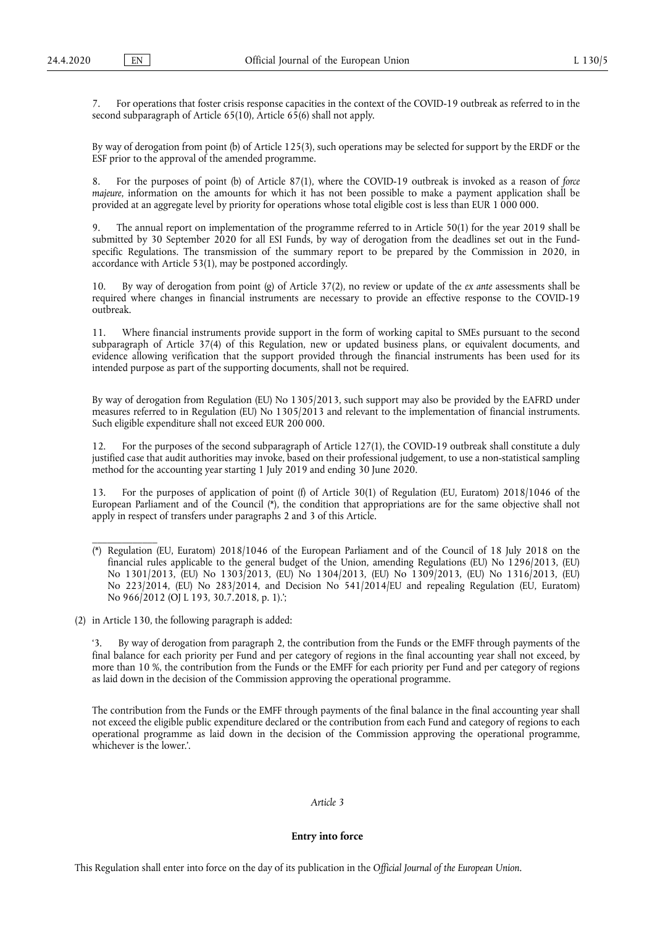7. For operations that foster crisis response capacities in the context of the COVID-19 outbreak as referred to in the second subparagraph of Article 65(10), Article 65(6) shall not apply.

By way of derogation from point (b) of Article 125(3), such operations may be selected for support by the ERDF or the ESF prior to the approval of the amended programme.

8. For the purposes of point (b) of Article 87(1), where the COVID-19 outbreak is invoked as a reason of *force majeure*, information on the amounts for which it has not been possible to make a payment application shall be provided at an aggregate level by priority for operations whose total eligible cost is less than EUR 1 000 000.

9. The annual report on implementation of the programme referred to in Article 50(1) for the year 2019 shall be submitted by 30 September 2020 for all ESI Funds, by way of derogation from the deadlines set out in the Fundspecific Regulations. The transmission of the summary report to be prepared by the Commission in 2020, in accordance with Article 53(1), may be postponed accordingly.

10. By way of derogation from point (g) of Article 37(2), no review or update of the *ex ante* assessments shall be required where changes in financial instruments are necessary to provide an effective response to the COVID-19 outbreak.

11. Where financial instruments provide support in the form of working capital to SMEs pursuant to the second subparagraph of Article 37(4) of this Regulation, new or updated business plans, or equivalent documents, and evidence allowing verification that the support provided through the financial instruments has been used for its intended purpose as part of the supporting documents, shall not be required.

By way of derogation from Regulation (EU) No 1305/2013, such support may also be provided by the EAFRD under measures referred to in Regulation (EU) No 1305/2013 and relevant to the implementation of financial instruments. Such eligible expenditure shall not exceed EUR 200 000.

12. For the purposes of the second subparagraph of Article 127(1), the COVID-19 outbreak shall constitute a duly justified case that audit authorities may invoke, based on their professional judgement, to use a non-statistical sampling method for the accounting year starting 1 July 2019 and ending 30 June 2020.

<span id="page-4-1"></span>13. For the purposes of application of point (f) of Article 30(1) of Regulation (EU, Euratom) 2018/1046 of the European Parliament and of the Council  $(*)$ , the condition that appropriations are for the same objective shall not apply in respect of transfers under paragraphs 2 and 3 of this Article.

<span id="page-4-0"></span>[\(\\*\)](#page-4-1) Regulation (EU, Euratom) 2018/1046 of the European Parliament and of the Council of 18 July 2018 on the financial rules applicable to the general budget of the Union, amending Regulations (EU) No 1296/2013, (EU) No 1301/2013, (EU) No 1303/2013, (EU) No 1304/2013, (EU) No 1309/2013, (EU) No 1316/2013, (EU) No 223/2014, (EU) No 283/2014, and Decision No 541/2014/EU and repealing Regulation (EU, Euratom) No 966/2012 (OJ L 193, 30.7.2018, p. 1).';

(2) in Article 130, the following paragraph is added:

\_\_\_\_\_\_\_\_\_\_\_\_\_

'3. By way of derogation from paragraph 2, the contribution from the Funds or the EMFF through payments of the final balance for each priority per Fund and per category of regions in the final accounting year shall not exceed, by more than 10 %, the contribution from the Funds or the EMFF for each priority per Fund and per category of regions as laid down in the decision of the Commission approving the operational programme.

The contribution from the Funds or the EMFF through payments of the final balance in the final accounting year shall not exceed the eligible public expenditure declared or the contribution from each Fund and category of regions to each operational programme as laid down in the decision of the Commission approving the operational programme, whichever is the lower.'.

## *Article 3*

**Entry into force** 

This Regulation shall enter into force on the day of its publication in the *Official Journal of the European Union*.